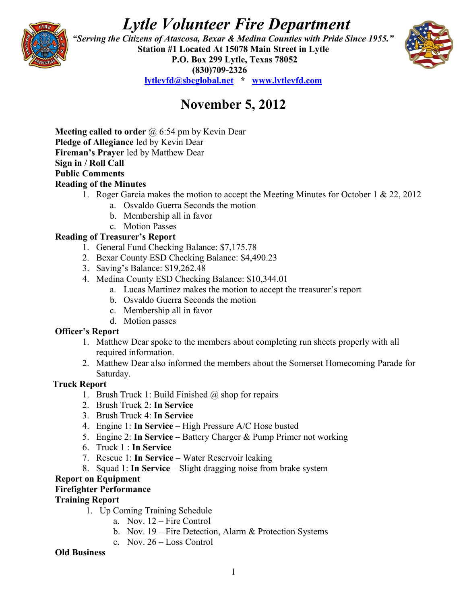# *Lytle Volunteer Fire Department*



 *"Serving the Citizens of Atascosa, Bexar & Medina Counties with Pride Since 1955."*  **Station #1 Located At 15078 Main Street in Lytle P.O. Box 299 Lytle, Texas 78052 (830)709-2326 [lytlevfd@sbcglobal.net](mailto:lytlevfd@sbcglobal.net) \* [www.lytlevfd.com](http://www.lytlevfd.com/)**



# **November 5, 2012**

**Meeting called to order** @ 6:54 pm by Kevin Dear **Pledge of Allegiance** led by Kevin Dear **Fireman's Prayer** led by Matthew Dear **Sign in / Roll Call Public Comments Reading of the Minutes**

- 1. Roger Garcia makes the motion to accept the Meeting Minutes for October 1 & 22, 2012
	- a. Osvaldo Guerra Seconds the motion
	- b. Membership all in favor
	- c. Motion Passes

# **Reading of Treasurer's Report**

- 1. General Fund Checking Balance: \$7,175.78
- 2. Bexar County ESD Checking Balance: \$4,490.23
- 3. Saving's Balance: \$19,262.48
- 4. Medina County ESD Checking Balance: \$10,344.01
	- a. Lucas Martinez makes the motion to accept the treasurer's report
	- b. Osvaldo Guerra Seconds the motion
	- c. Membership all in favor
	- d. Motion passes

## **Officer's Report**

- 1. Matthew Dear spoke to the members about completing run sheets properly with all required information.
- 2. Matthew Dear also informed the members about the Somerset Homecoming Parade for Saturday.

## **Truck Report**

- 1. Brush Truck 1: Build Finished  $\omega$  shop for repairs
- 2. Brush Truck 2: **In Service**
- 3. Brush Truck 4: **In Service**
- 4. Engine 1: **In Service** High Pressure A/C Hose busted
- 5. Engine 2: **In Service** Battery Charger & Pump Primer not working
- 6. Truck 1 : **In Service**
- 7. Rescue 1: **In Service**  Water Reservoir leaking
- 8. Squad 1: **In Service**  Slight dragging noise from brake system

# **Report on Equipment**

## **Firefighter Performance**

#### **Training Report**

- 1. Up Coming Training Schedule
	- a. Nov. 12 Fire Control
	- b. Nov. 19 Fire Detection, Alarm & Protection Systems
	- c. Nov. 26 Loss Control

#### **Old Business**